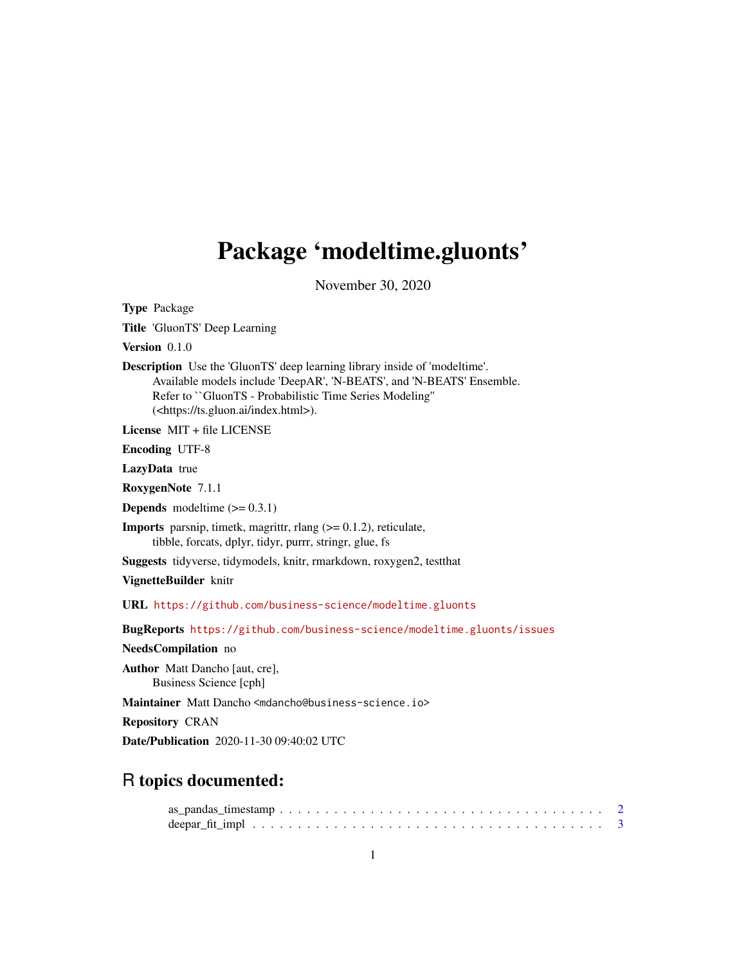## <span id="page-0-0"></span>Package 'modeltime.gluonts'

November 30, 2020

Type Package Title 'GluonTS' Deep Learning Version 0.1.0 Description Use the 'GluonTS' deep learning library inside of 'modeltime'. Available models include 'DeepAR', 'N-BEATS', and 'N-BEATS' Ensemble. Refer to ``GluonTS - Probabilistic Time Series Modeling'' (<https://ts.gluon.ai/index.html>). License MIT + file LICENSE Encoding UTF-8 LazyData true RoxygenNote 7.1.1 **Depends** modeltime  $(>= 0.3.1)$ **Imports** parsnip, timetk, magrittr, rlang  $(>= 0.1.2)$ , reticulate, tibble, forcats, dplyr, tidyr, purrr, stringr, glue, fs Suggests tidyverse, tidymodels, knitr, rmarkdown, roxygen2, testthat VignetteBuilder knitr URL <https://github.com/business-science/modeltime.gluonts> BugReports <https://github.com/business-science/modeltime.gluonts/issues> NeedsCompilation no Author Matt Dancho [aut, cre], Business Science [cph] Maintainer Matt Dancho <mdancho@business-science.io> Repository CRAN Date/Publication 2020-11-30 09:40:02 UTC R topics documented: as\_pandas\_timestamp . . . . . . . . . . . . . . . . . . . . . . . . . . . . . . . . . . . . [2](#page-1-0)

deepar\_fit\_impl . . . . . . . . . . . . . . . . . . . . . . . . . . . . . . . . . . . . . . . [3](#page-2-0)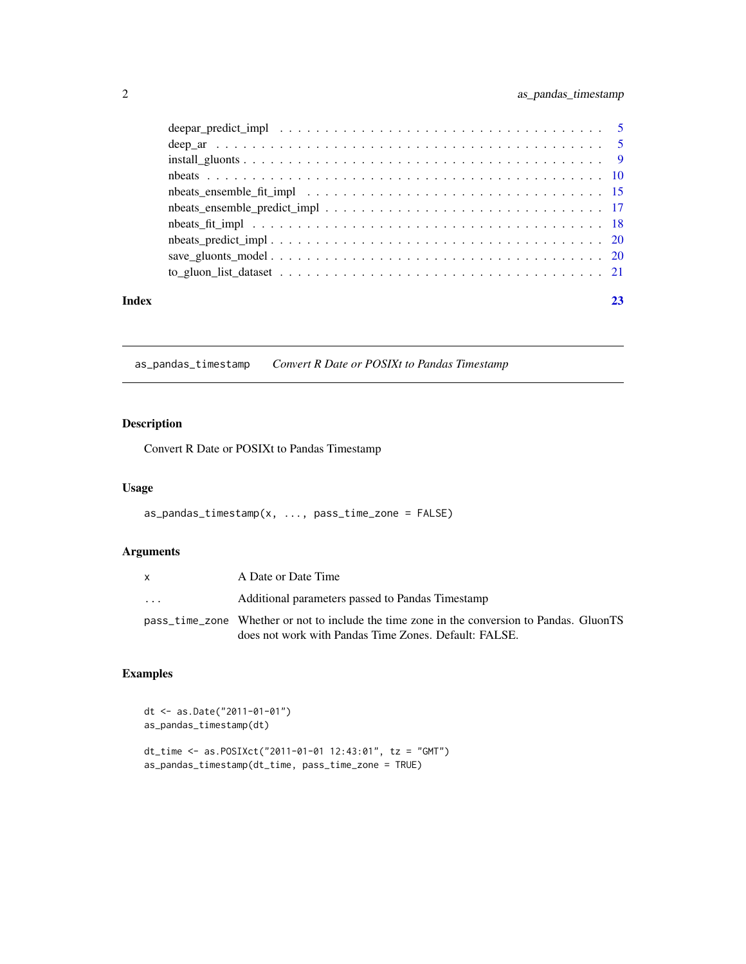<span id="page-1-0"></span>

|       | deepar_predict_impl $\dots \dots \dots \dots \dots \dots \dots \dots \dots \dots \dots \dots \dots \dots \dots \dots$ |  |
|-------|-----------------------------------------------------------------------------------------------------------------------|--|
|       |                                                                                                                       |  |
|       |                                                                                                                       |  |
|       |                                                                                                                       |  |
|       |                                                                                                                       |  |
|       |                                                                                                                       |  |
|       |                                                                                                                       |  |
|       |                                                                                                                       |  |
|       |                                                                                                                       |  |
|       |                                                                                                                       |  |
|       |                                                                                                                       |  |
| Index |                                                                                                                       |  |

as\_pandas\_timestamp *Convert R Date or POSIXt to Pandas Timestamp*

#### Description

Convert R Date or POSIXt to Pandas Timestamp

#### Usage

```
as_pandas_timestamp(x, ..., pass_time_zone = FALSE)
```
### Arguments

|   | A Date or Date Time                                                                                                                                  |
|---|------------------------------------------------------------------------------------------------------------------------------------------------------|
| . | Additional parameters passed to Pandas Timestamp                                                                                                     |
|   | pass_time_zone Whether or not to include the time zone in the conversion to Pandas. GluonTS<br>does not work with Pandas Time Zones. Default: FALSE. |

#### Examples

```
dt <- as.Date("2011-01-01")
as_pandas_timestamp(dt)
dt_time <- as.POSIXct("2011-01-01 12:43:01", tz = "GMT")
as_pandas_timestamp(dt_time, pass_time_zone = TRUE)
```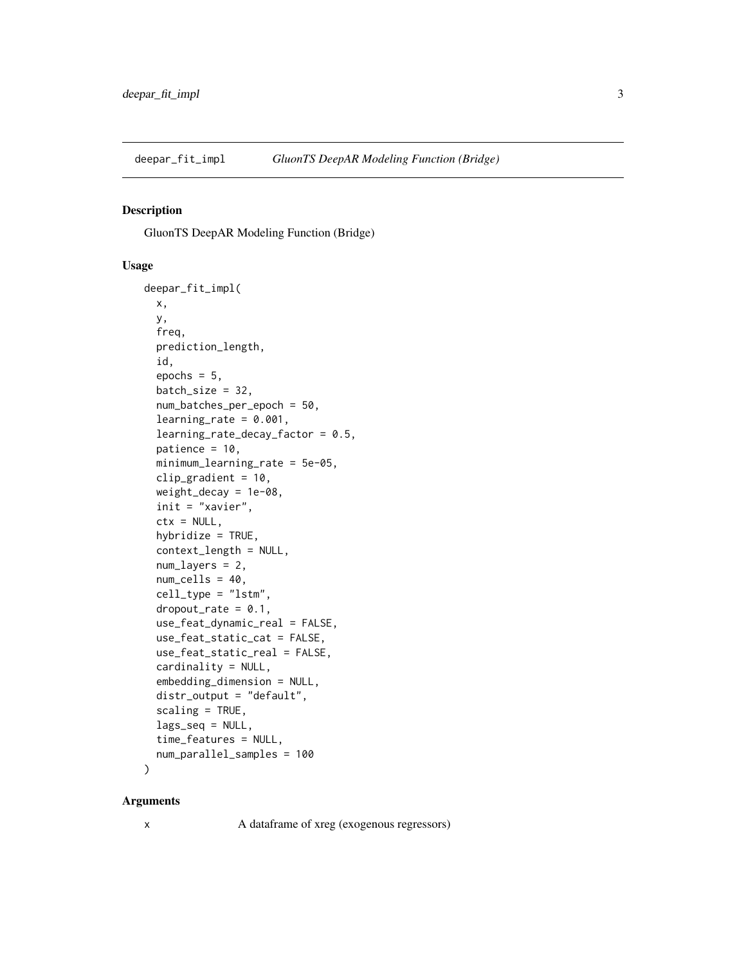<span id="page-2-0"></span>

#### Description

GluonTS DeepAR Modeling Function (Bridge)

#### Usage

```
deepar_fit_impl(
 x,
 y,
  freq,
  prediction_length,
  id,
  epochs = 5,
 batch_size = 32,num_batches_per_epoch = 50,
  learning_rate = 0.001,learning_rate_decay_factor = 0.5,
  patience = 10,
 minimum_learning_rate = 5e-05,
 clip_gradient = 10,
 weight_decay = 1e-08,
  init = "xavier",
  ctx = NULL,hybridize = TRUE,
  context_length = NULL,
  num_layers = 2,
 num_cells = 40,
  cell_type = "lstm",
  droput_rate = 0.1,use_feat_dynamic_real = FALSE,
  use_feat_static_cat = FALSE,
  use_feat_static_real = FALSE,
  cardinality = NULL,
  embedding_dimension = NULL,
  distr_output = "default",
  scaling = TRUE,
  lags_seq = NULL,
  time_features = NULL,
 num_parallel_samples = 100
)
```
#### Arguments

x A dataframe of xreg (exogenous regressors)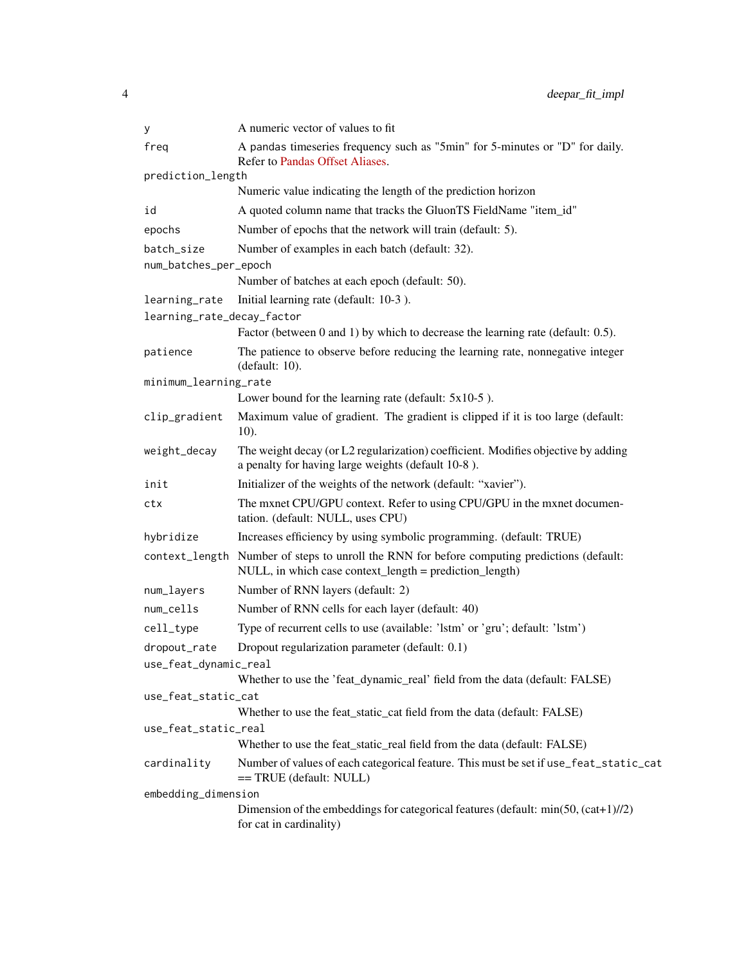| У                          | A numeric vector of values to fit                                                                                                                      |
|----------------------------|--------------------------------------------------------------------------------------------------------------------------------------------------------|
| freq                       | A pandas timeseries frequency such as "5min" for 5-minutes or "D" for daily.<br>Refer to Pandas Offset Aliases.                                        |
| prediction_length          |                                                                                                                                                        |
|                            | Numeric value indicating the length of the prediction horizon                                                                                          |
| id                         | A quoted column name that tracks the GluonTS FieldName "item_id"                                                                                       |
| epochs                     | Number of epochs that the network will train (default: 5).                                                                                             |
| batch size                 | Number of examples in each batch (default: 32).                                                                                                        |
| num_batches_per_epoch      |                                                                                                                                                        |
|                            | Number of batches at each epoch (default: 50).                                                                                                         |
| learning_rate              | Initial learning rate (default: 10-3).                                                                                                                 |
| learning_rate_decay_factor |                                                                                                                                                        |
|                            | Factor (between 0 and 1) by which to decrease the learning rate (default: 0.5).                                                                        |
| patience                   | The patience to observe before reducing the learning rate, nonnegative integer<br>(default: 10).                                                       |
| minimum_learning_rate      |                                                                                                                                                        |
|                            | Lower bound for the learning rate (default: $5x10-5$ ).                                                                                                |
| clip_gradient              | Maximum value of gradient. The gradient is clipped if it is too large (default:<br>$10$ ).                                                             |
| weight_decay               | The weight decay (or L2 regularization) coefficient. Modifies objective by adding<br>a penalty for having large weights (default 10-8).                |
| init                       | Initializer of the weights of the network (default: "xavier").                                                                                         |
| ctx                        | The mxnet CPU/GPU context. Refer to using CPU/GPU in the mxnet documen-<br>tation. (default: NULL, uses CPU)                                           |
| hybridize                  | Increases efficiency by using symbolic programming. (default: TRUE)                                                                                    |
|                            | context_length Number of steps to unroll the RNN for before computing predictions (default:<br>NULL, in which case context_length = prediction_length) |
| num_layers                 | Number of RNN layers (default: 2)                                                                                                                      |
| num_cells                  | Number of RNN cells for each layer (default: 40)                                                                                                       |
| cell_type                  | Type of recurrent cells to use (available: 'lstm' or 'gru'; default: 'lstm')                                                                           |
| dropout_rate               | Dropout regularization parameter (default: 0.1)                                                                                                        |
| use_feat_dynamic_real      |                                                                                                                                                        |
|                            | Whether to use the 'feat_dynamic_real' field from the data (default: FALSE)                                                                            |
| use_feat_static_cat        |                                                                                                                                                        |
|                            | Whether to use the feat_static_cat field from the data (default: FALSE)                                                                                |
| use_feat_static_real       | Whether to use the feat_static_real field from the data (default: FALSE)                                                                               |
|                            |                                                                                                                                                        |
| cardinality                | Number of values of each categorical feature. This must be set if use_feat_static_cat<br>== TRUE (default: NULL)                                       |
| embedding_dimension        |                                                                                                                                                        |
|                            | Dimension of the embeddings for categorical features (default: $min(50, (cat+1)/2)$ )<br>for cat in cardinality)                                       |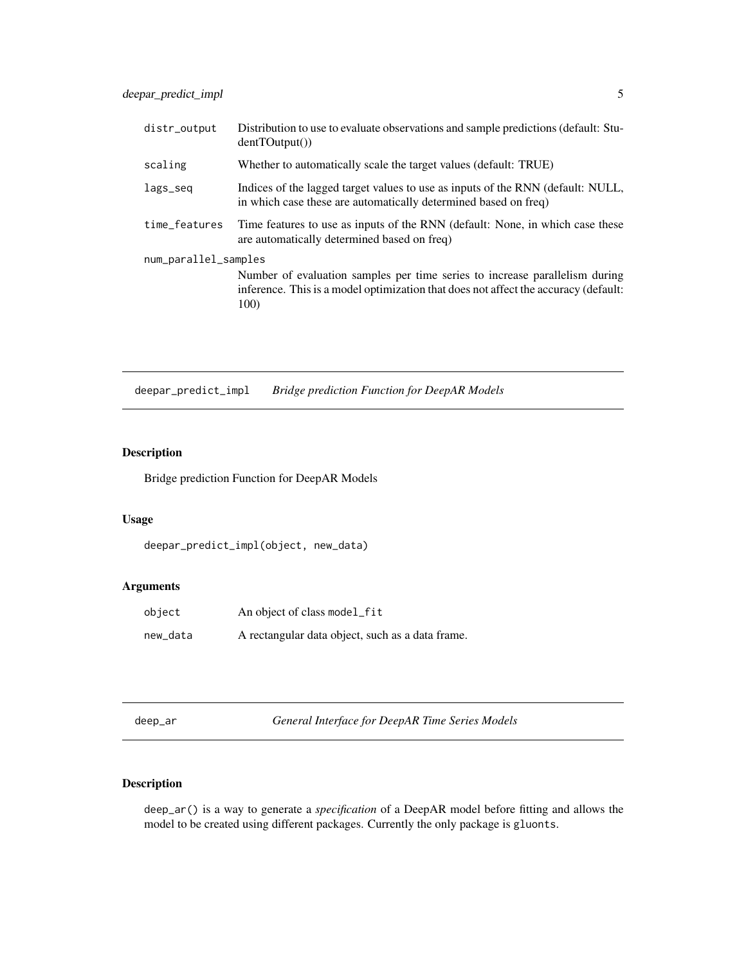<span id="page-4-0"></span>

| distr_output                                                                                                                                                                                       | Distribution to use to evaluate observations and sample predictions (default: Stu-<br>dentTOutput()                                                |
|----------------------------------------------------------------------------------------------------------------------------------------------------------------------------------------------------|----------------------------------------------------------------------------------------------------------------------------------------------------|
| scaling                                                                                                                                                                                            | Whether to automatically scale the target values (default: TRUE)                                                                                   |
| lags_seq                                                                                                                                                                                           | Indices of the lagged target values to use as inputs of the RNN (default: NULL,<br>in which case these are automatically determined based on freq. |
| time_features                                                                                                                                                                                      | Time features to use as inputs of the RNN (default: None, in which case these<br>are automatically determined based on freq.                       |
| num_parallel_samples<br>Number of evaluation samples per time series to increase parallelism during<br>inference. This is a model optimization that does not affect the accuracy (default:<br>100) |                                                                                                                                                    |

deepar\_predict\_impl *Bridge prediction Function for DeepAR Models*

#### Description

Bridge prediction Function for DeepAR Models

#### Usage

```
deepar_predict_impl(object, new_data)
```
#### Arguments

| object   | An object of class model_fit                     |
|----------|--------------------------------------------------|
| new_data | A rectangular data object, such as a data frame. |

deep\_ar *General Interface for DeepAR Time Series Models*

#### Description

deep\_ar() is a way to generate a *specification* of a DeepAR model before fitting and allows the model to be created using different packages. Currently the only package is gluonts.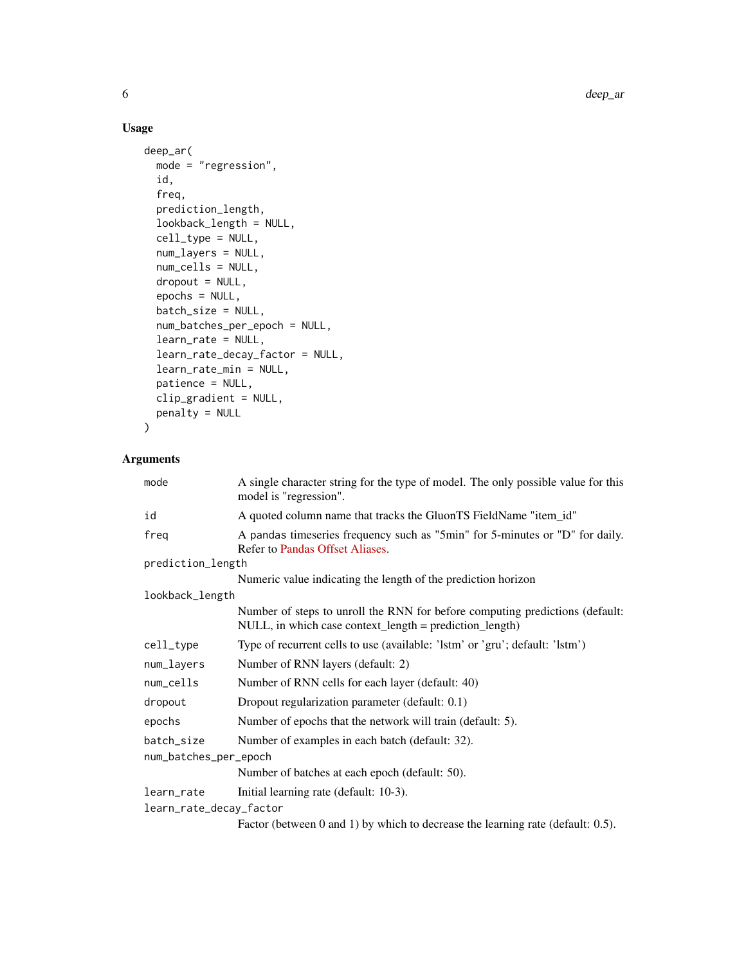#### Usage

```
deep_ar(
 mode = "regression",
  id,
  freq,
 prediction_length,
  lookback_length = NULL,
  cell_type = NULL,
  num_layers = NULL,
 num_cells = NULL,
  dropout = NULL,
  epochs = NULL,
 batch_size = NULL,
  num_batches_per_epoch = NULL,
  learn_rate = NULL,
  learn_rate_decay_factor = NULL,
  learn_rate_min = NULL,
 patience = NULL,
 clip_gradient = NULL,
 penalty = NULL
\mathcal{L}
```

| mode                    | A single character string for the type of model. The only possible value for this<br>model is "regression".                                |
|-------------------------|--------------------------------------------------------------------------------------------------------------------------------------------|
| id                      | A quoted column name that tracks the GluonTS FieldName "item_id"                                                                           |
| freq                    | A pandas timeseries frequency such as "5min" for 5-minutes or "D" for daily.<br>Refer to Pandas Offset Aliases.                            |
| prediction_length       |                                                                                                                                            |
|                         | Numeric value indicating the length of the prediction horizon                                                                              |
| lookback_length         |                                                                                                                                            |
|                         | Number of steps to unroll the RNN for before computing predictions (default:<br>$NULL$ , in which case context_length = prediction_length) |
| cell_type               | Type of recurrent cells to use (available: 'lstm' or 'gru'; default: 'lstm')                                                               |
| num_layers              | Number of RNN layers (default: 2)                                                                                                          |
| num_cells               | Number of RNN cells for each layer (default: 40)                                                                                           |
| dropout                 | Dropout regularization parameter (default: 0.1)                                                                                            |
| epochs                  | Number of epochs that the network will train (default: 5).                                                                                 |
| batch_size              | Number of examples in each batch (default: 32).                                                                                            |
| num_batches_per_epoch   |                                                                                                                                            |
|                         | Number of batches at each epoch (default: 50).                                                                                             |
| learn_rate              | Initial learning rate (default: 10-3).                                                                                                     |
| learn_rate_decay_factor |                                                                                                                                            |
|                         | Factor (between 0 and 1) by which to decrease the learning rate (default: 0.5).                                                            |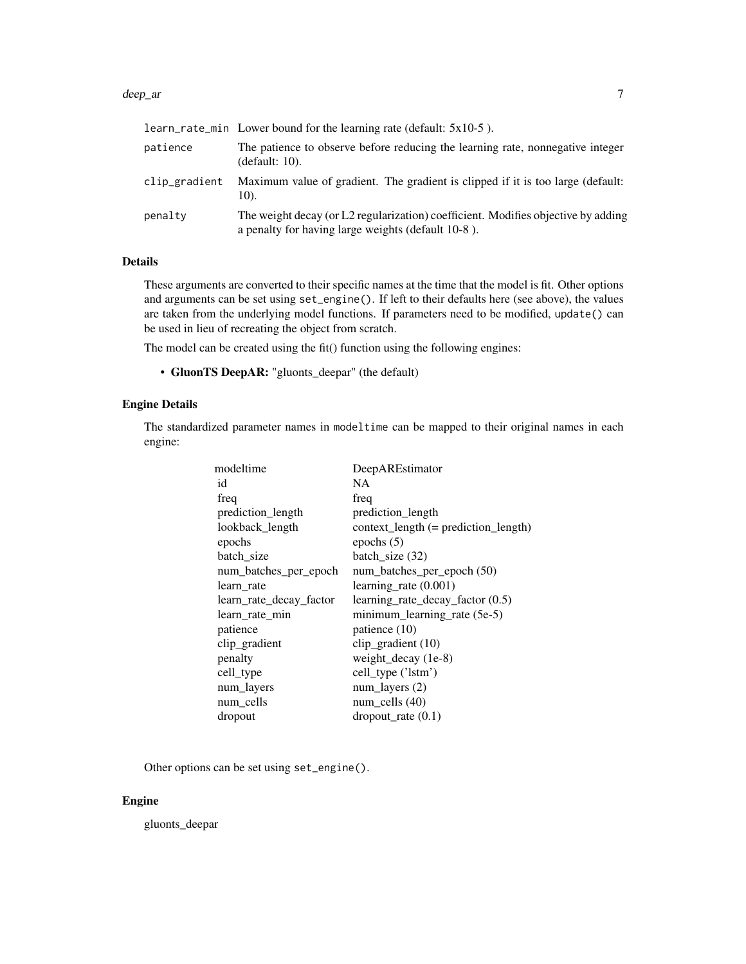#### deep\_ar 7

|               | learn_rate_min Lower bound for the learning rate (default: $5x10-5$ ).                                                                  |
|---------------|-----------------------------------------------------------------------------------------------------------------------------------------|
| patience      | The patience to observe before reducing the learning rate, nonnegative integer<br>(default: 10).                                        |
| clip_gradient | Maximum value of gradient. The gradient is clipped if it is too large (default:<br>10).                                                 |
| penaltv       | The weight decay (or L2 regularization) coefficient. Modifies objective by adding<br>a penalty for having large weights (default 10-8). |

#### Details

These arguments are converted to their specific names at the time that the model is fit. Other options and arguments can be set using set\_engine(). If left to their defaults here (see above), the values are taken from the underlying model functions. If parameters need to be modified, update() can be used in lieu of recreating the object from scratch.

The model can be created using the fit() function using the following engines:

• GluonTS DeepAR: "gluonts\_deepar" (the default)

#### Engine Details

The standardized parameter names in modeltime can be mapped to their original names in each engine:

| modeltime               | DeepAREstimator                        |
|-------------------------|----------------------------------------|
| id                      | NA.                                    |
| freq                    | freq                                   |
| prediction_length       | prediction_length                      |
| lookback_length         | $context_length (= prediction_length)$ |
| epochs                  | epochs $(5)$                           |
| batch size              | batch_size $(32)$                      |
| num_batches_per_epoch   | num_batches_per_epoch (50)             |
| learn rate              | learning rate $(0.001)$                |
| learn_rate_decay_factor | learning_rate_decay_factor (0.5)       |
| learn_rate_min          | minimum_learning_rate (5e-5)           |
| patience                | patience (10)                          |
| clip_gradient           | clip_gradient $(10)$                   |
| penalty                 | weight_decay $(1e-8)$                  |
| cell_type               | cell type ('lstm')                     |
| num_layers              | num layers $(2)$                       |
| num_cells               | $num$ _cells $(40)$                    |
| dropout                 | $\text{dropout}_\text{rate}(0.1)$      |

Other options can be set using set\_engine().

#### Engine

gluonts\_deepar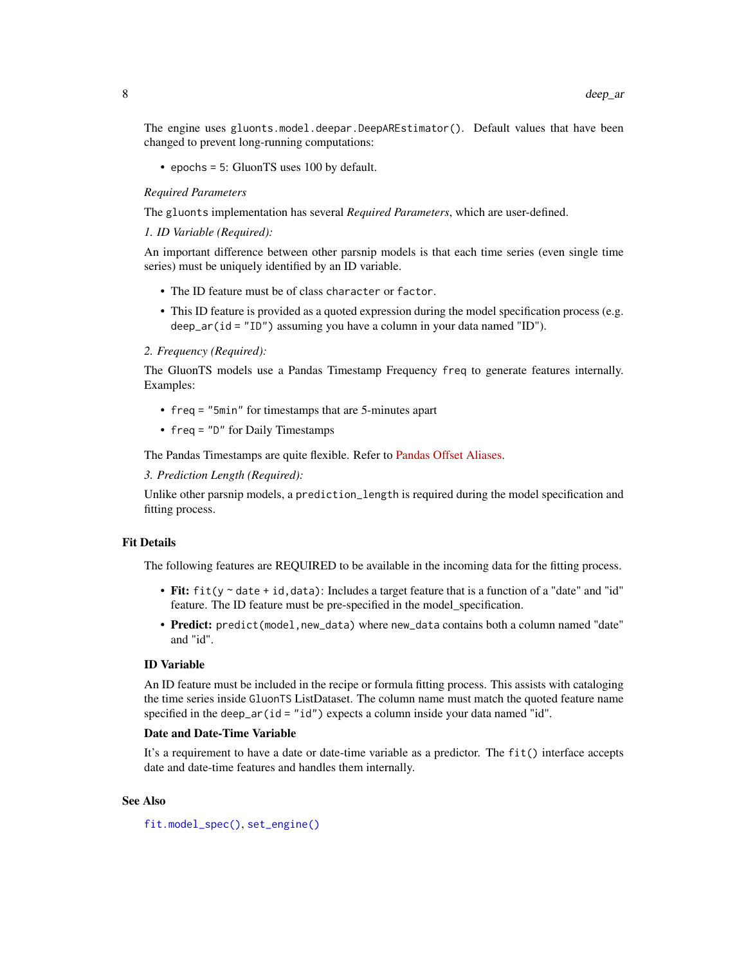<span id="page-7-0"></span>The engine uses gluonts.model.deepar.DeepAREstimator(). Default values that have been changed to prevent long-running computations:

• epochs = 5: GluonTS uses 100 by default.

#### *Required Parameters*

The gluonts implementation has several *Required Parameters*, which are user-defined.

*1. ID Variable (Required):*

An important difference between other parsnip models is that each time series (even single time series) must be uniquely identified by an ID variable.

- The ID feature must be of class character or factor.
- This ID feature is provided as a quoted expression during the model specification process (e.g. deep\_ar(id = "ID") assuming you have a column in your data named "ID").

#### *2. Frequency (Required):*

The GluonTS models use a Pandas Timestamp Frequency freq to generate features internally. Examples:

- freq = "5min" for timestamps that are 5-minutes apart
- freq = "D" for Daily Timestamps

The Pandas Timestamps are quite flexible. Refer to [Pandas Offset Aliases.](https://pandas.pydata.org/pandas-docs/stable/user_guide/timeseries.html#offset-aliases)

*3. Prediction Length (Required):*

Unlike other parsnip models, a prediction\_length is required during the model specification and fitting process.

#### Fit Details

The following features are REQUIRED to be available in the incoming data for the fitting process.

- Fit:  $fit(y \sim date + id, data)$ : Includes a target feature that is a function of a "date" and "id" feature. The ID feature must be pre-specified in the model\_specification.
- Predict: predict(model,new\_data) where new\_data contains both a column named "date" and "id".

#### ID Variable

An ID feature must be included in the recipe or formula fitting process. This assists with cataloging the time series inside GluonTS ListDataset. The column name must match the quoted feature name specified in the deep\_ar(id = "id") expects a column inside your data named "id".

#### Date and Date-Time Variable

It's a requirement to have a date or date-time variable as a predictor. The fit() interface accepts date and date-time features and handles them internally.

#### See Also

[fit.model\\_spec\(\)](#page-0-0), [set\\_engine\(\)](#page-0-0)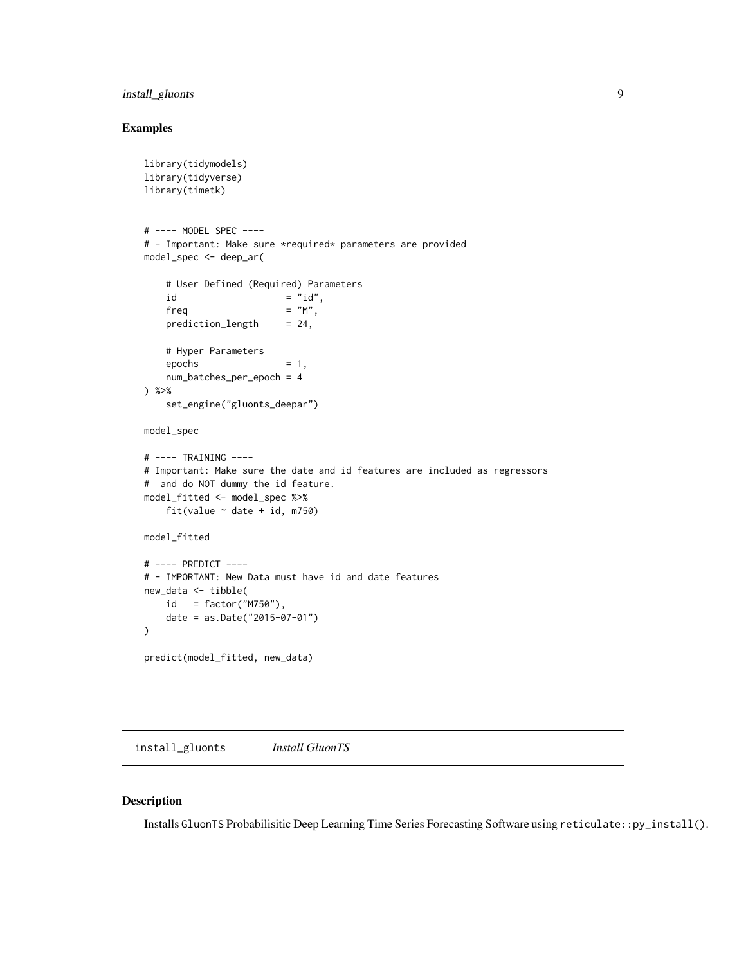#### <span id="page-8-0"></span>install\_gluonts 9

#### Examples

```
library(tidymodels)
library(tidyverse)
library(timetk)
# ---- MODEL SPEC ----
# - Important: Make sure *required* parameters are provided
model_spec <- deep_ar(
   # User Defined (Required) Parameters
   id = "id",freq = "M",
   prediction_length = 24,# Hyper Parameters
   epochs = 1,
   num_batches_per_epoch = 4
) %>%
   set_engine("gluonts_deepar")
model_spec
# ---- TRAINING ----
# Important: Make sure the date and id features are included as regressors
# and do NOT dummy the id feature.
model_fitted <- model_spec %>%
   fit(value \sim date + id, m750)
model_fitted
# ---- PREDICT ----
# - IMPORTANT: New Data must have id and date features
new_data <- tibble(
   id = factor("M750"),
   date = as.Date("2015-07-01")
\lambdapredict(model_fitted, new_data)
```
install\_gluonts *Install GluonTS*

#### Description

Installs GluonTS Probabilisitic Deep Learning Time Series Forecasting Software using reticulate::py\_install().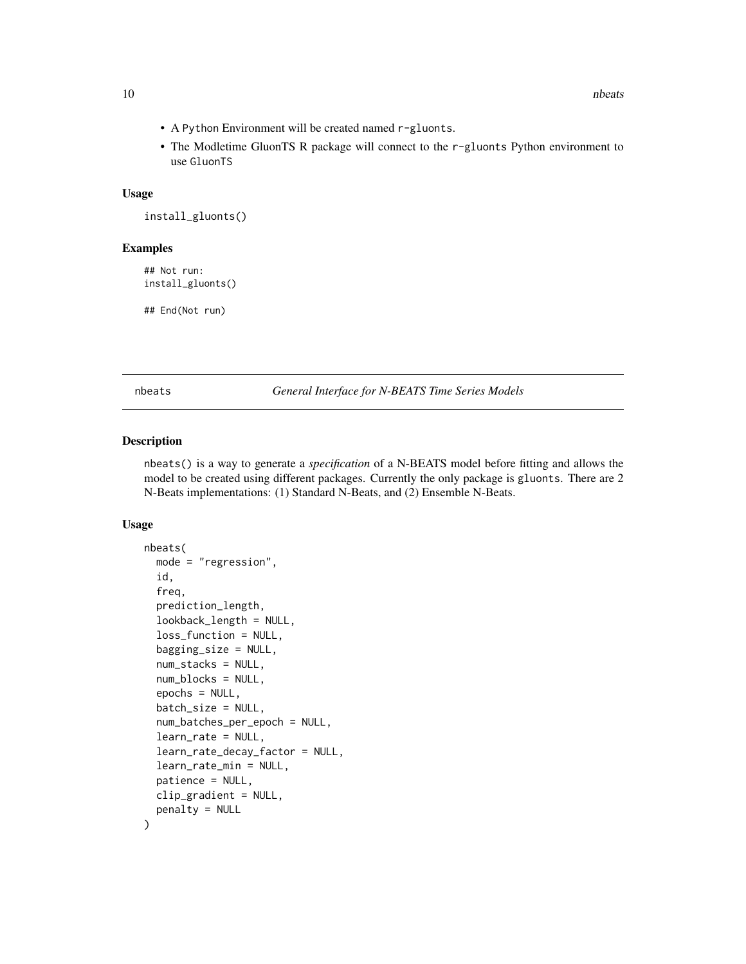- <span id="page-9-0"></span>• A Python Environment will be created named r-gluonts.
- The Modletime GluonTS R package will connect to the r-gluonts Python environment to use GluonTS

#### Usage

```
install_gluonts()
```
#### Examples

## Not run: install\_gluonts()

## End(Not run)

nbeats *General Interface for N-BEATS Time Series Models*

#### Description

nbeats() is a way to generate a *specification* of a N-BEATS model before fitting and allows the model to be created using different packages. Currently the only package is gluonts. There are 2 N-Beats implementations: (1) Standard N-Beats, and (2) Ensemble N-Beats.

#### Usage

```
nbeats(
  mode = "regression",
  id,
  freq,
  prediction_length,
  lookback_length = NULL,
  loss_function = NULL,
  bagging_size = NULL,
  num_stacks = NULL,
  num_blocks = NULL,
  epochs = NULL,batch_size = NULL,
  num_batches_per_epoch = NULL,
  learn_rate = NULL,
  learn_rate_decay_factor = NULL,
  learn_rate_min = NULL,
  patience = NULL,
 clip_gradient = NULL,
  penalty = NULL
)
```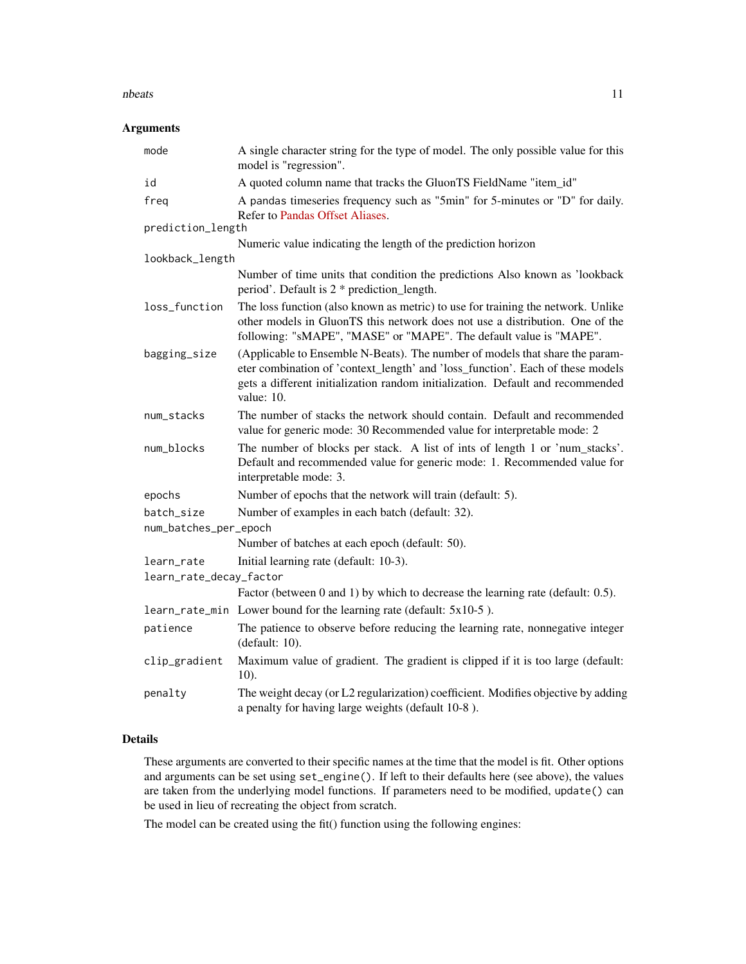#### nbeats and the set of the set of the set of the set of the set of the set of the set of the set of the set of the set of the set of the set of the set of the set of the set of the set of the set of the set of the set of th

#### Arguments

| mode                    | A single character string for the type of model. The only possible value for this<br>model is "regression".                                                                                                                                                    |
|-------------------------|----------------------------------------------------------------------------------------------------------------------------------------------------------------------------------------------------------------------------------------------------------------|
| id                      | A quoted column name that tracks the GluonTS FieldName "item_id"                                                                                                                                                                                               |
| freq                    | A pandas timeseries frequency such as "5min" for 5-minutes or "D" for daily.<br>Refer to Pandas Offset Aliases.                                                                                                                                                |
| prediction_length       |                                                                                                                                                                                                                                                                |
|                         | Numeric value indicating the length of the prediction horizon                                                                                                                                                                                                  |
| lookback_length         |                                                                                                                                                                                                                                                                |
|                         | Number of time units that condition the predictions Also known as 'lookback<br>period'. Default is 2 * prediction_length.                                                                                                                                      |
| loss_function           | The loss function (also known as metric) to use for training the network. Unlike<br>other models in GluonTS this network does not use a distribution. One of the<br>following: "sMAPE", "MASE" or "MAPE". The default value is "MAPE".                         |
| bagging_size            | (Applicable to Ensemble N-Beats). The number of models that share the param-<br>eter combination of 'context_length' and 'loss_function'. Each of these models<br>gets a different initialization random initialization. Default and recommended<br>value: 10. |
| num_stacks              | The number of stacks the network should contain. Default and recommended<br>value for generic mode: 30 Recommended value for interpretable mode: 2                                                                                                             |
| num_blocks              | The number of blocks per stack. A list of ints of length 1 or 'num_stacks'.<br>Default and recommended value for generic mode: 1. Recommended value for<br>interpretable mode: 3.                                                                              |
| epochs                  | Number of epochs that the network will train (default: 5).                                                                                                                                                                                                     |
| batch_size              | Number of examples in each batch (default: 32).                                                                                                                                                                                                                |
| num_batches_per_epoch   |                                                                                                                                                                                                                                                                |
|                         | Number of batches at each epoch (default: 50).                                                                                                                                                                                                                 |
| learn_rate              | Initial learning rate (default: 10-3).                                                                                                                                                                                                                         |
| learn_rate_decay_factor |                                                                                                                                                                                                                                                                |
|                         | Factor (between 0 and 1) by which to decrease the learning rate (default: 0.5).                                                                                                                                                                                |
|                         | learn_rate_min Lower bound for the learning rate (default: 5x10-5).                                                                                                                                                                                            |
| patience                | The patience to observe before reducing the learning rate, nonnegative integer<br>(default: $10$ ).                                                                                                                                                            |
| clip_gradient           | Maximum value of gradient. The gradient is clipped if it is too large (default:<br>10).                                                                                                                                                                        |
| penalty                 | The weight decay (or L2 regularization) coefficient. Modifies objective by adding<br>a penalty for having large weights (default 10-8).                                                                                                                        |

#### Details

These arguments are converted to their specific names at the time that the model is fit. Other options and arguments can be set using set\_engine(). If left to their defaults here (see above), the values are taken from the underlying model functions. If parameters need to be modified, update() can be used in lieu of recreating the object from scratch.

The model can be created using the fit() function using the following engines: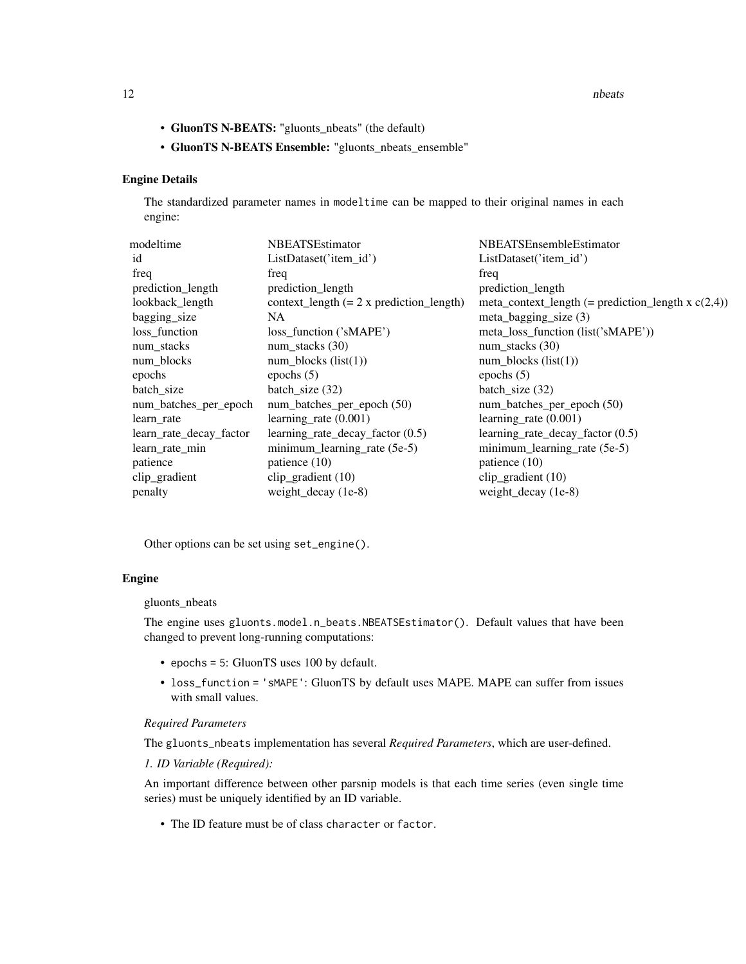12 nbeats and the set of the set of the set of the set of the set of the set of the set of the set of the set of the set of the set of the set of the set of the set of the set of the set of the set of the set of the set of

- GluonTS N-BEATS: "gluonts\_nbeats" (the default)
- GluonTS N-BEATS Ensemble: "gluonts\_nbeats\_ensemble"

#### Engine Details

The standardized parameter names in modeltime can be mapped to their original names in each engine:

| modeltime               | <b>NBEATSEstimator</b>                     | NBEATSEnsembleEstimator                               |
|-------------------------|--------------------------------------------|-------------------------------------------------------|
| id                      | ListDataset('item_id')                     | ListDataset('item_id')                                |
| freq                    | freq                                       | freq                                                  |
| prediction_length       | prediction_length                          | prediction_length                                     |
| lookback_length         | $context_length (= 2 x prediction_length)$ | meta_context_length (= prediction_length x $c(2,4)$ ) |
| bagging_size            | NA                                         | meta_bagging_size $(3)$                               |
| loss_function           | loss_function ('sMAPE')                    | meta_loss_function (list('sMAPE'))                    |
| num_stacks              | num_stacks $(30)$                          | num_stacks (30)                                       |
| num_blocks              | $num_blocks$ (list(1))                     | $num_blocks$ (list(1))                                |
| epochs                  | epochs $(5)$                               | epochs $(5)$                                          |
| batch_size              | batch_size $(32)$                          | batch_size $(32)$                                     |
| num_batches_per_epoch   | num_batches_per_epoch (50)                 | num_batches_per_epoch (50)                            |
| learn rate              | learning rate $(0.001)$                    | learning rate $(0.001)$                               |
| learn_rate_decay_factor | learning_rate_decay_factor (0.5)           | learning_rate_decay_factor (0.5)                      |
| learn rate min          | minimum_learning_rate (5e-5)               | minimum_learning_rate (5e-5)                          |
| patience                | patience $(10)$                            | patience $(10)$                                       |
| clip_gradient           | clip_gradient (10)                         | clip_gradient (10)                                    |
| penalty                 | weight_decay (1e-8)                        | weight_decay (1e-8)                                   |
|                         |                                            |                                                       |

Other options can be set using set\_engine().

#### Engine

#### gluonts\_nbeats

The engine uses gluonts.model.n\_beats.NBEATSEstimator(). Default values that have been changed to prevent long-running computations:

- epochs = 5: GluonTS uses 100 by default.
- loss\_function = 'sMAPE': GluonTS by default uses MAPE. MAPE can suffer from issues with small values.

#### *Required Parameters*

The gluonts\_nbeats implementation has several *Required Parameters*, which are user-defined.

#### *1. ID Variable (Required):*

An important difference between other parsnip models is that each time series (even single time series) must be uniquely identified by an ID variable.

• The ID feature must be of class character or factor.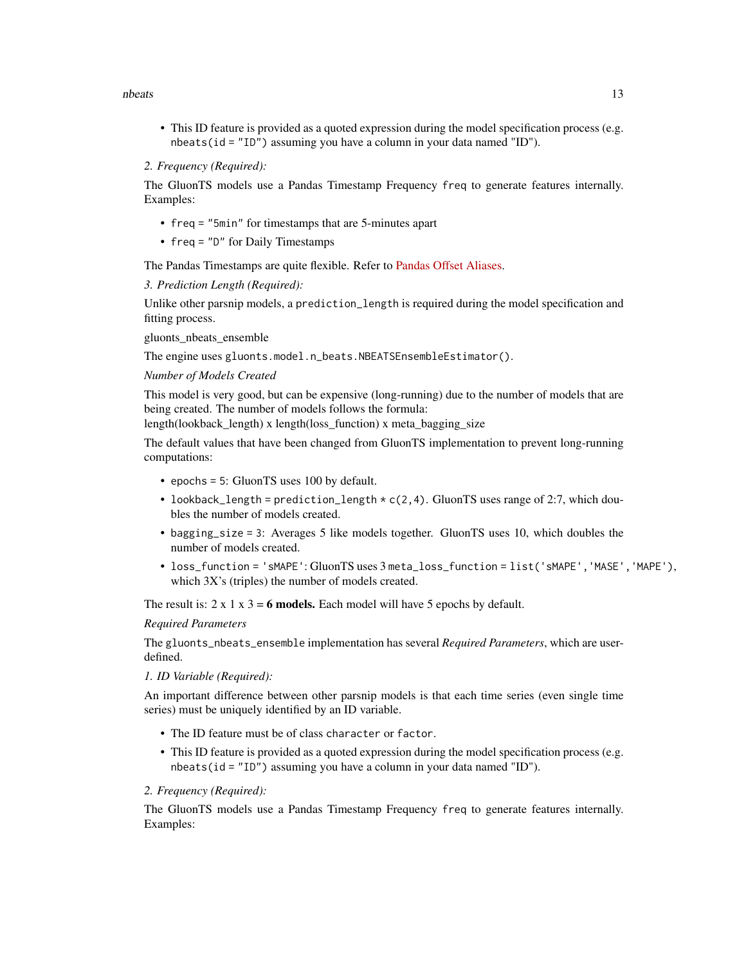#### nbeats and the set of the set of the set of the set of the set of the set of the set of the set of the set of the set of the set of the set of the set of the set of the set of the set of the set of the set of the set of th

• This ID feature is provided as a quoted expression during the model specification process (e.g. nbeats(id = "ID") assuming you have a column in your data named "ID").

#### *2. Frequency (Required):*

The GluonTS models use a Pandas Timestamp Frequency freq to generate features internally. Examples:

- freq = "5min" for timestamps that are 5-minutes apart
- freq = "D" for Daily Timestamps

The Pandas Timestamps are quite flexible. Refer to [Pandas Offset Aliases.](https://pandas.pydata.org/pandas-docs/stable/user_guide/timeseries.html#offset-aliases)

*3. Prediction Length (Required):*

Unlike other parsnip models, a prediction\_length is required during the model specification and fitting process.

gluonts\_nbeats\_ensemble

The engine uses gluonts.model.n\_beats.NBEATSEnsembleEstimator().

*Number of Models Created*

This model is very good, but can be expensive (long-running) due to the number of models that are being created. The number of models follows the formula:

length(lookback\_length) x length(loss\_function) x meta\_bagging\_size

The default values that have been changed from GluonTS implementation to prevent long-running computations:

- epochs = 5: GluonTS uses 100 by default.
- lookback\_length = prediction\_length  $\star$  c(2,4). GluonTS uses range of 2:7, which doubles the number of models created.
- bagging\_size = 3: Averages 5 like models together. GluonTS uses 10, which doubles the number of models created.
- loss\_function = 'sMAPE': GluonTS uses 3 meta\_loss\_function = list('sMAPE','MASE','MAPE'), which 3X's (triples) the number of models created.

The result is:  $2 \times 1 \times 3 = 6$  models. Each model will have 5 epochs by default.

#### *Required Parameters*

The gluonts\_nbeats\_ensemble implementation has several *Required Parameters*, which are userdefined.

#### *1. ID Variable (Required):*

An important difference between other parsnip models is that each time series (even single time series) must be uniquely identified by an ID variable.

- The ID feature must be of class character or factor.
- This ID feature is provided as a quoted expression during the model specification process (e.g. nbeats(id = "ID") assuming you have a column in your data named "ID").

#### *2. Frequency (Required):*

The GluonTS models use a Pandas Timestamp Frequency freq to generate features internally. Examples: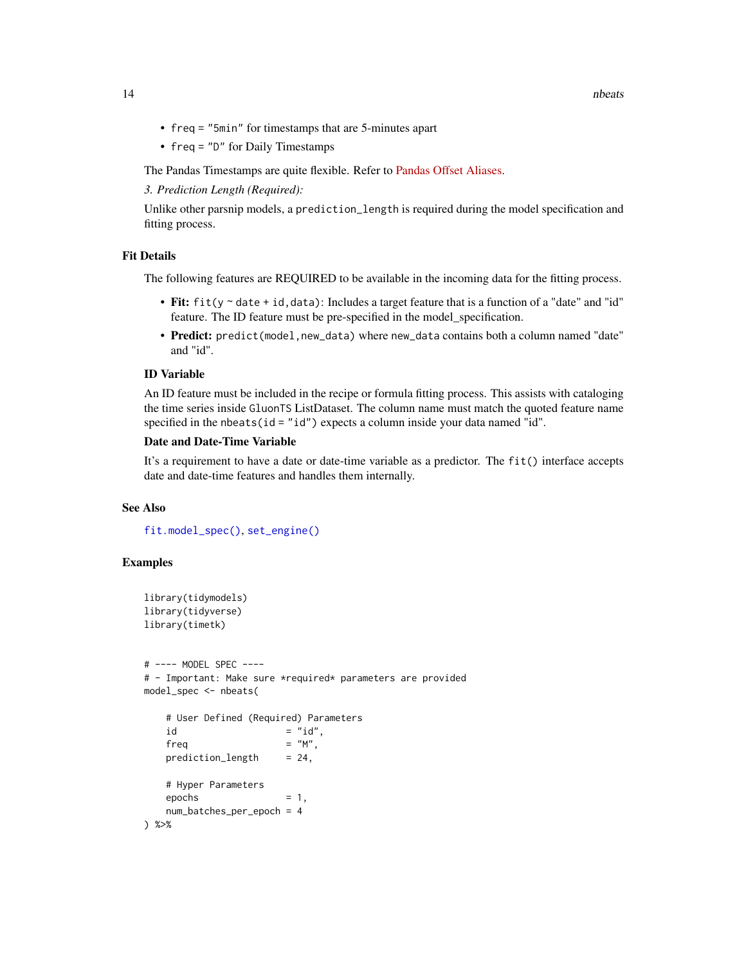- <span id="page-13-0"></span>• freq = "5min" for timestamps that are 5-minutes apart
- freq = "D" for Daily Timestamps

The Pandas Timestamps are quite flexible. Refer to [Pandas Offset Aliases.](https://pandas.pydata.org/pandas-docs/stable/user_guide/timeseries.html#offset-aliases)

*3. Prediction Length (Required):*

Unlike other parsnip models, a prediction\_length is required during the model specification and fitting process.

#### Fit Details

The following features are REQUIRED to be available in the incoming data for the fitting process.

- Fit:  $fit(y \sim date + id, data)$ : Includes a target feature that is a function of a "date" and "id" feature. The ID feature must be pre-specified in the model\_specification.
- Predict: predict(model,new\_data) where new\_data contains both a column named "date" and "id".

#### ID Variable

An ID feature must be included in the recipe or formula fitting process. This assists with cataloging the time series inside GluonTS ListDataset. The column name must match the quoted feature name specified in the nbeats( $id = "id")$  expects a column inside your data named "id".

#### Date and Date-Time Variable

It's a requirement to have a date or date-time variable as a predictor. The fit() interface accepts date and date-time features and handles them internally.

#### See Also

[fit.model\\_spec\(\)](#page-0-0), [set\\_engine\(\)](#page-0-0)

#### Examples

```
library(tidymodels)
library(tidyverse)
library(timetk)
```

```
# ---- MODEL SPEC ----
# - Important: Make sure *required* parameters are provided
model_spec <- nbeats(
```

```
# User Defined (Required) Parameters
  id = "id",freq = "M",
  prediction_length = 24,# Hyper Parameters
   \epsilon epochs = 1,
  num_batches_per_epoch = 4
) %>%
```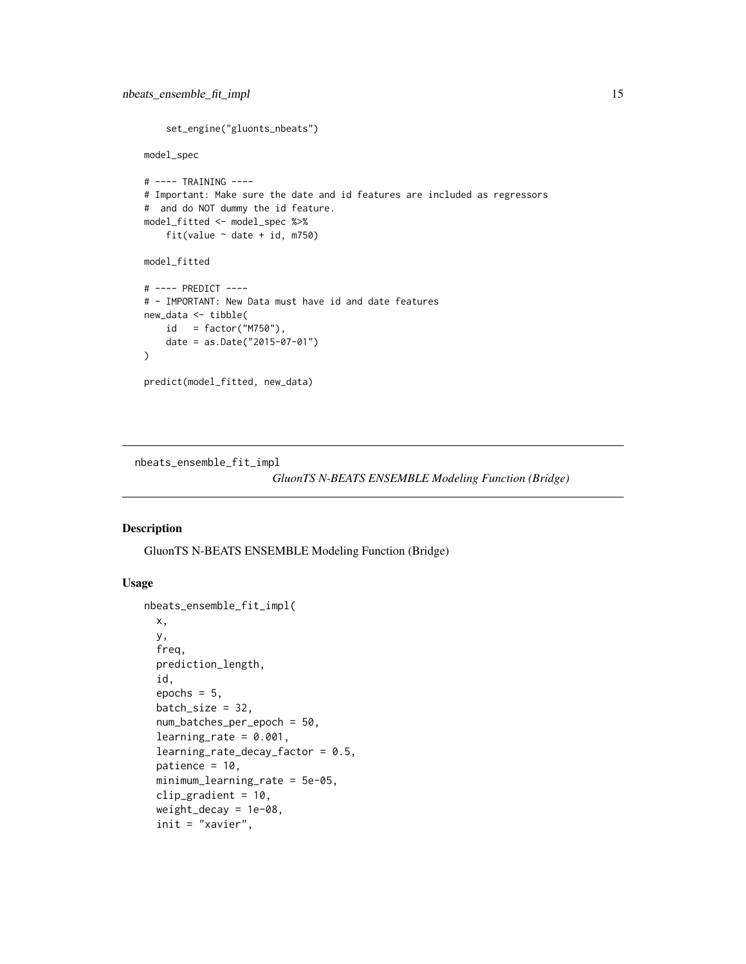```
set_engine("gluonts_nbeats")
model_spec
# ---- TRAINING ----
# Important: Make sure the date and id features are included as regressors
# and do NOT dummy the id feature.
model_fitted <- model_spec %>%
    fit(value \sim date + id, m750)
model_fitted
# ---- PREDICT ----
# - IMPORTANT: New Data must have id and date features
new_data <- tibble(
    id = factor("M750"),
   date = as.Date("2015-07-01")
)
predict(model_fitted, new_data)
```
nbeats\_ensemble\_fit\_impl

```
GluonTS N-BEATS ENSEMBLE Modeling Function (Bridge)
```
#### Description

GluonTS N-BEATS ENSEMBLE Modeling Function (Bridge)

#### Usage

```
nbeats_ensemble_fit_impl(
 x,
 y,
  freq,
 prediction_length,
  id,
  epochs = 5,
 batch_size = 32,num_batches_per_epoch = 50,
  learning_rate = 0.001,learning_rate_decay_factor = 0.5,
 patience = 10,
 minimum_learning_rate = 5e-05,
  clip_gradient = 10,
 weight_decay = 1e-08,
  init = "xavier",
```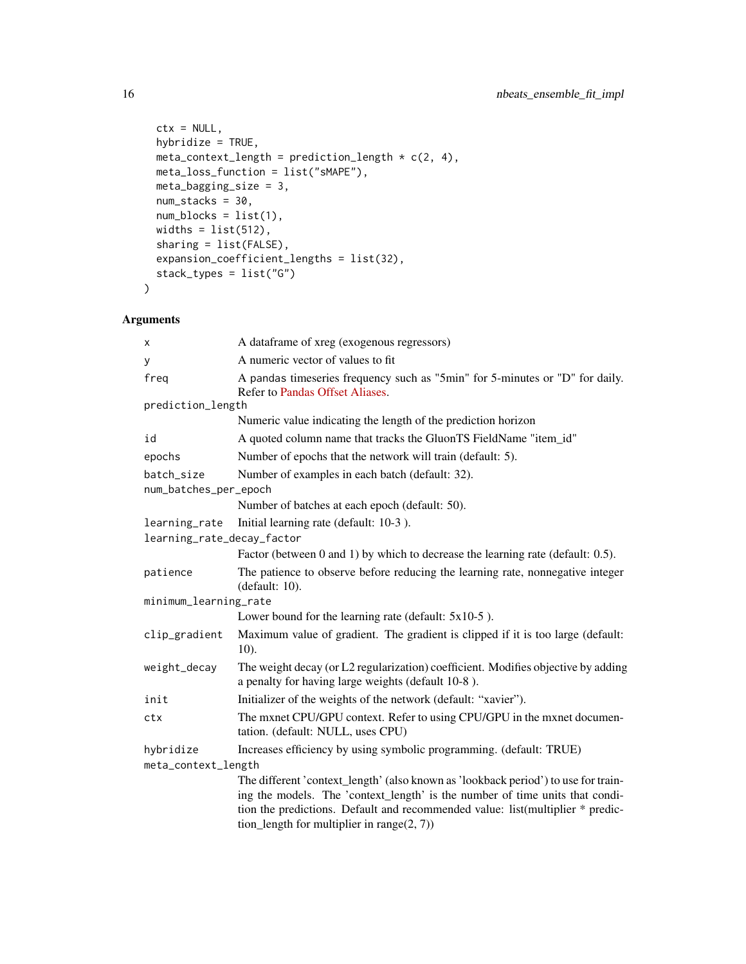```
ctx = NULL,hybridize = TRUE,
 meta_context_length = prediction_length \star c(2, 4),
 meta_loss_function = list("sMAPE"),
 meta_bagging_size = 3,
 num_stacks = 30,
 num_blocks = list(1),
 widths = list(512),
  sharing = list(FALSE),
 expansion_coefficient_lengths = list(32),
 stack_types = list("G")
\mathcal{L}
```

| x                          | A dataframe of xreg (exogenous regressors)                                                                                                                                                                                                                                                             |
|----------------------------|--------------------------------------------------------------------------------------------------------------------------------------------------------------------------------------------------------------------------------------------------------------------------------------------------------|
| У                          | A numeric vector of values to fit                                                                                                                                                                                                                                                                      |
| freq                       | A pandas timeseries frequency such as "5min" for 5-minutes or "D" for daily.<br>Refer to Pandas Offset Aliases.                                                                                                                                                                                        |
| prediction_length          |                                                                                                                                                                                                                                                                                                        |
|                            | Numeric value indicating the length of the prediction horizon                                                                                                                                                                                                                                          |
| id                         | A quoted column name that tracks the GluonTS FieldName "item_id"                                                                                                                                                                                                                                       |
| epochs                     | Number of epochs that the network will train (default: 5).                                                                                                                                                                                                                                             |
| batch_size                 | Number of examples in each batch (default: 32).                                                                                                                                                                                                                                                        |
| num_batches_per_epoch      |                                                                                                                                                                                                                                                                                                        |
|                            | Number of batches at each epoch (default: 50).                                                                                                                                                                                                                                                         |
| learning_rate              | Initial learning rate (default: 10-3).                                                                                                                                                                                                                                                                 |
| learning_rate_decay_factor |                                                                                                                                                                                                                                                                                                        |
|                            | Factor (between 0 and 1) by which to decrease the learning rate (default: 0.5).                                                                                                                                                                                                                        |
| patience                   | The patience to observe before reducing the learning rate, nonnegative integer<br>(default: 10).                                                                                                                                                                                                       |
| minimum_learning_rate      |                                                                                                                                                                                                                                                                                                        |
|                            | Lower bound for the learning rate (default: $5x10-5$ ).                                                                                                                                                                                                                                                |
| clip_gradient              | Maximum value of gradient. The gradient is clipped if it is too large (default:<br>$10$ ).                                                                                                                                                                                                             |
| weight_decay               | The weight decay (or L2 regularization) coefficient. Modifies objective by adding<br>a penalty for having large weights (default 10-8).                                                                                                                                                                |
| init                       | Initializer of the weights of the network (default: "xavier").                                                                                                                                                                                                                                         |
| ctx                        | The mxnet CPU/GPU context. Refer to using CPU/GPU in the mxnet documen-<br>tation. (default: NULL, uses CPU)                                                                                                                                                                                           |
| hybridize                  | Increases efficiency by using symbolic programming. (default: TRUE)                                                                                                                                                                                                                                    |
| meta_context_length        |                                                                                                                                                                                                                                                                                                        |
|                            | The different 'context_length' (also known as 'lookback period') to use for train-<br>ing the models. The 'context_length' is the number of time units that condi-<br>tion the predictions. Default and recommended value: list(multiplier * predic-<br>tion_length for multiplier in range $(2, 7)$ ) |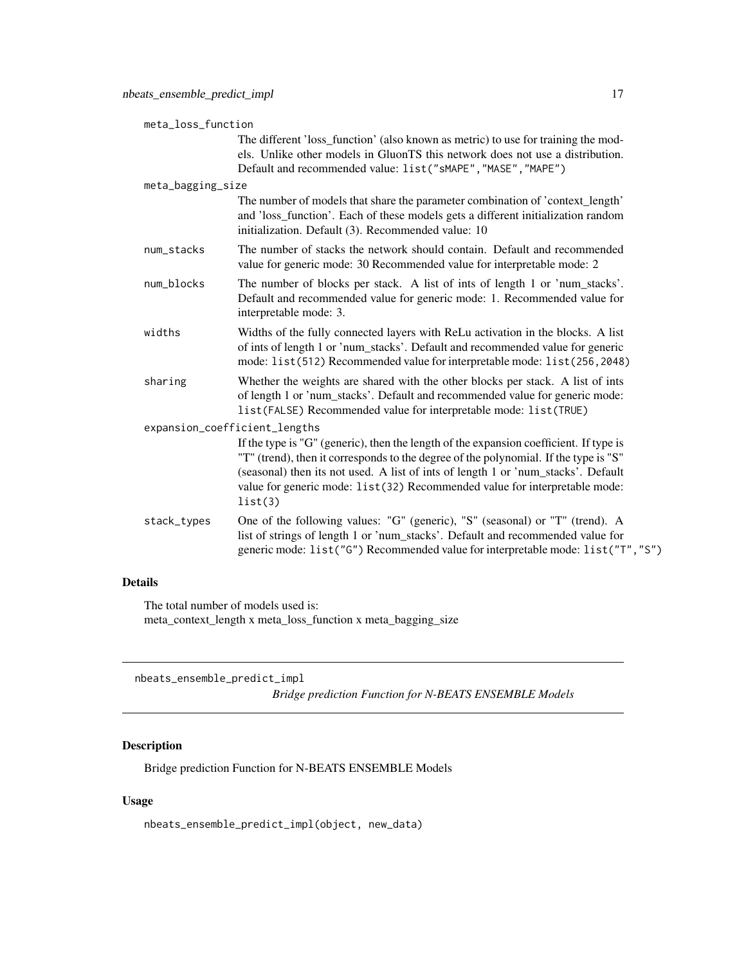<span id="page-16-0"></span>

| meta_loss_function            |                                                                                                                                                                                                                                                                                                                                                              |  |
|-------------------------------|--------------------------------------------------------------------------------------------------------------------------------------------------------------------------------------------------------------------------------------------------------------------------------------------------------------------------------------------------------------|--|
|                               | The different 'loss_function' (also known as metric) to use for training the mod-<br>els. Unlike other models in GluonTS this network does not use a distribution.<br>Default and recommended value: list("sMAPE", "MASE", "MAPE")                                                                                                                           |  |
| meta_bagging_size             |                                                                                                                                                                                                                                                                                                                                                              |  |
|                               | The number of models that share the parameter combination of 'context_length'<br>and 'loss_function'. Each of these models gets a different initialization random<br>initialization. Default (3). Recommended value: 10                                                                                                                                      |  |
| num_stacks                    | The number of stacks the network should contain. Default and recommended<br>value for generic mode: 30 Recommended value for interpretable mode: 2                                                                                                                                                                                                           |  |
| num_blocks                    | The number of blocks per stack. A list of ints of length 1 or 'num_stacks'.<br>Default and recommended value for generic mode: 1. Recommended value for<br>interpretable mode: 3.                                                                                                                                                                            |  |
| widths                        | Widths of the fully connected layers with ReLu activation in the blocks. A list<br>of ints of length 1 or 'num_stacks'. Default and recommended value for generic<br>mode: list(512) Recommended value for interpretable mode: list(256, 2048)                                                                                                               |  |
| sharing                       | Whether the weights are shared with the other blocks per stack. A list of ints<br>of length 1 or 'num_stacks'. Default and recommended value for generic mode:<br>list(FALSE) Recommended value for interpretable mode: list(TRUE)                                                                                                                           |  |
| expansion_coefficient_lengths |                                                                                                                                                                                                                                                                                                                                                              |  |
|                               | If the type is "G" (generic), then the length of the expansion coefficient. If type is<br>"T" (trend), then it corresponds to the degree of the polynomial. If the type is "S"<br>(seasonal) then its not used. A list of ints of length 1 or 'num_stacks'. Default<br>value for generic mode: list(32) Recommended value for interpretable mode:<br>list(3) |  |
| stack_types                   | One of the following values: "G" (generic), "S" (seasonal) or "T" (trend). A<br>list of strings of length 1 or 'num_stacks'. Default and recommended value for<br>generic mode: list("G") Recommended value for interpretable mode: list("T","S")                                                                                                            |  |

#### Details

The total number of models used is: meta\_context\_length x meta\_loss\_function x meta\_bagging\_size

nbeats\_ensemble\_predict\_impl

*Bridge prediction Function for N-BEATS ENSEMBLE Models*

#### Description

Bridge prediction Function for N-BEATS ENSEMBLE Models

#### Usage

nbeats\_ensemble\_predict\_impl(object, new\_data)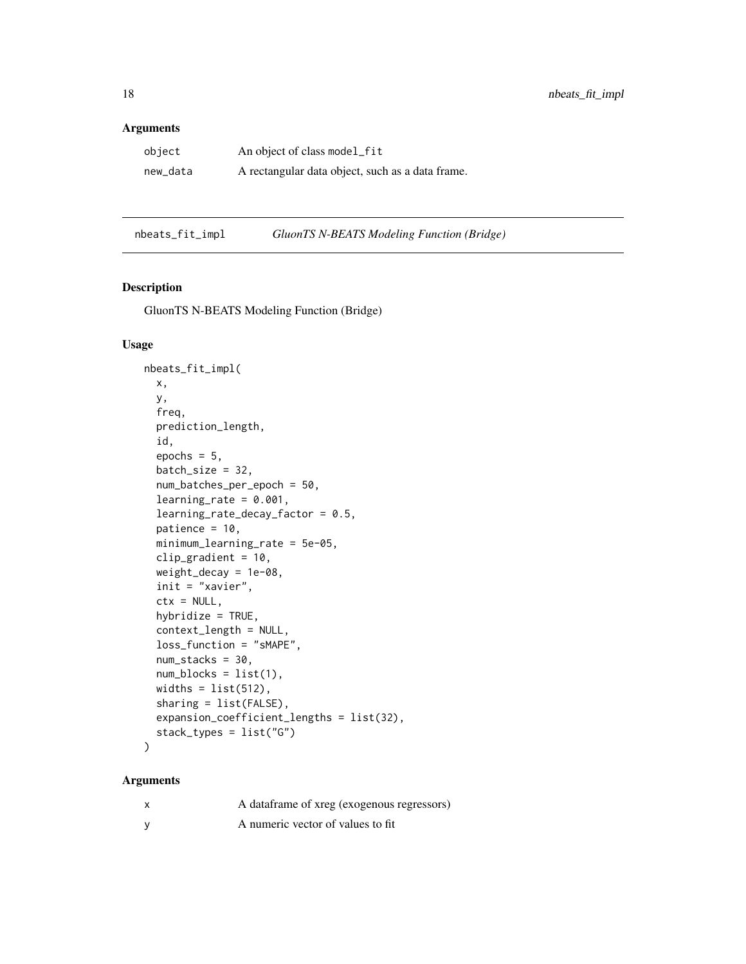#### <span id="page-17-0"></span>Arguments

| object   | An object of class model_fit                     |
|----------|--------------------------------------------------|
| new_data | A rectangular data object, such as a data frame. |

nbeats\_fit\_impl *GluonTS N-BEATS Modeling Function (Bridge)*

#### Description

GluonTS N-BEATS Modeling Function (Bridge)

#### Usage

```
nbeats_fit_impl(
 x,
  y,
  freq,
  prediction_length,
  id,
  epochs = 5,
  batch_size = 32,num_batches_per_epoch = 50,
  learning_rate = 0.001,learning_rate_decay_factor = 0.5,
  patience = 10,
  minimum_learning_rate = 5e-05,
  clip_gradient = 10,
  weight_decay = 1e-08,
  init = "xavier",
  ctx = NULL,hybridize = TRUE,
  context_length = NULL,
  loss_function = "sMAPE",
  num_stacks = 30,
  num\_blocks = list(1),
 widths = list(512),
  sharing = list(FALSE),
  expansion_coefficient_lengths = list(32),
  stack_types = list("G")
)
```

| X        | A dataframe of xreg (exogenous regressors) |
|----------|--------------------------------------------|
| <b>V</b> | A numeric vector of values to fit          |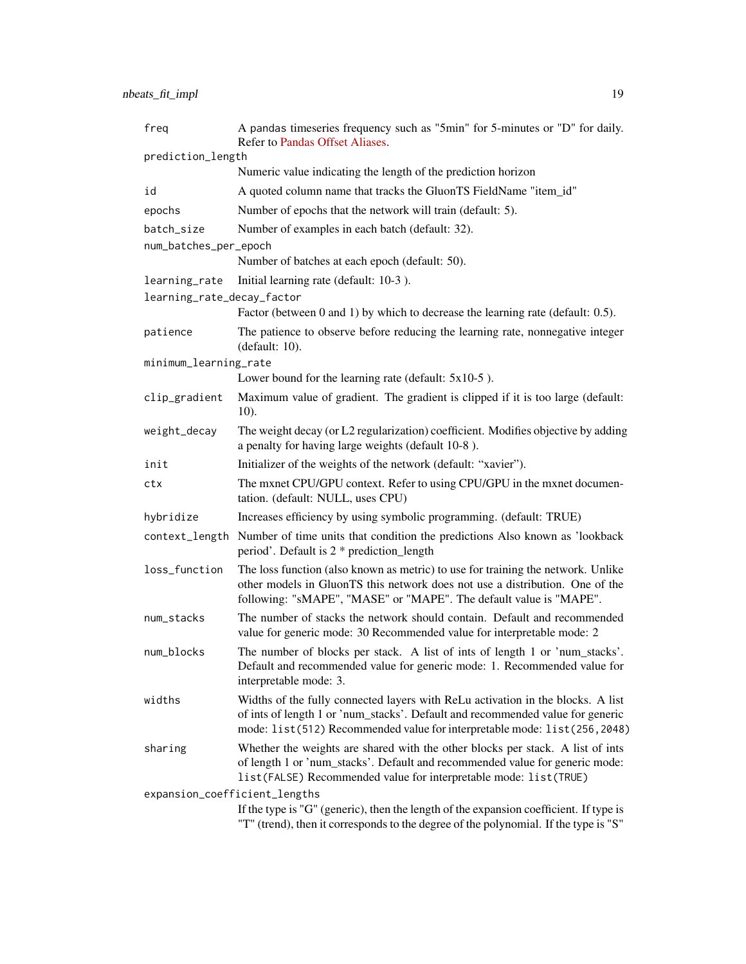| freq                          | A pandas timeseries frequency such as "5min" for 5-minutes or "D" for daily.<br>Refer to Pandas Offset Aliases.                                                                                                                                |  |
|-------------------------------|------------------------------------------------------------------------------------------------------------------------------------------------------------------------------------------------------------------------------------------------|--|
| prediction_length             |                                                                                                                                                                                                                                                |  |
|                               | Numeric value indicating the length of the prediction horizon                                                                                                                                                                                  |  |
| id                            | A quoted column name that tracks the GluonTS FieldName "item_id"                                                                                                                                                                               |  |
| epochs                        | Number of epochs that the network will train (default: 5).                                                                                                                                                                                     |  |
| batch_size                    | Number of examples in each batch (default: 32).                                                                                                                                                                                                |  |
| num_batches_per_epoch         |                                                                                                                                                                                                                                                |  |
|                               | Number of batches at each epoch (default: 50).                                                                                                                                                                                                 |  |
| learning_rate                 | Initial learning rate (default: 10-3).                                                                                                                                                                                                         |  |
| learning_rate_decay_factor    |                                                                                                                                                                                                                                                |  |
|                               | Factor (between 0 and 1) by which to decrease the learning rate (default: 0.5).                                                                                                                                                                |  |
| patience                      | The patience to observe before reducing the learning rate, nonnegative integer<br>(default: 10).                                                                                                                                               |  |
| minimum_learning_rate         |                                                                                                                                                                                                                                                |  |
|                               | Lower bound for the learning rate (default: $5x10-5$ ).                                                                                                                                                                                        |  |
| clip_gradient                 | Maximum value of gradient. The gradient is clipped if it is too large (default:<br>$10$ ).                                                                                                                                                     |  |
| weight_decay                  | The weight decay (or L2 regularization) coefficient. Modifies objective by adding<br>a penalty for having large weights (default 10-8).                                                                                                        |  |
| init                          | Initializer of the weights of the network (default: "xavier").                                                                                                                                                                                 |  |
| ctx                           | The mxnet CPU/GPU context. Refer to using CPU/GPU in the mxnet documen-<br>tation. (default: NULL, uses CPU)                                                                                                                                   |  |
| hybridize                     | Increases efficiency by using symbolic programming. (default: TRUE)                                                                                                                                                                            |  |
| context_length                | Number of time units that condition the predictions Also known as 'lookback<br>period'. Default is 2 * prediction_length                                                                                                                       |  |
| loss_function                 | The loss function (also known as metric) to use for training the network. Unlike<br>other models in GluonTS this network does not use a distribution. One of the<br>following: "sMAPE", "MASE" or "MAPE". The default value is "MAPE".         |  |
| num_stacks                    | The number of stacks the network should contain. Default and recommended<br>value for generic mode: 30 Recommended value for interpretable mode: 2                                                                                             |  |
| num_blocks                    | The number of blocks per stack. A list of ints of length 1 or 'num_stacks'.<br>Default and recommended value for generic mode: 1. Recommended value for<br>interpretable mode: 3.                                                              |  |
| widths                        | Widths of the fully connected layers with ReLu activation in the blocks. A list<br>of ints of length 1 or 'num_stacks'. Default and recommended value for generic<br>mode: list(512) Recommended value for interpretable mode: list(256, 2048) |  |
| sharing                       | Whether the weights are shared with the other blocks per stack. A list of ints<br>of length 1 or 'num_stacks'. Default and recommended value for generic mode:<br>list(FALSE) Recommended value for interpretable mode: list(TRUE)             |  |
| expansion_coefficient_lengths |                                                                                                                                                                                                                                                |  |
|                               | If the type is "G" (generic), then the length of the expansion coefficient. If type is<br>"T" (trend), then it corresponds to the degree of the polynomial. If the type is "S"                                                                 |  |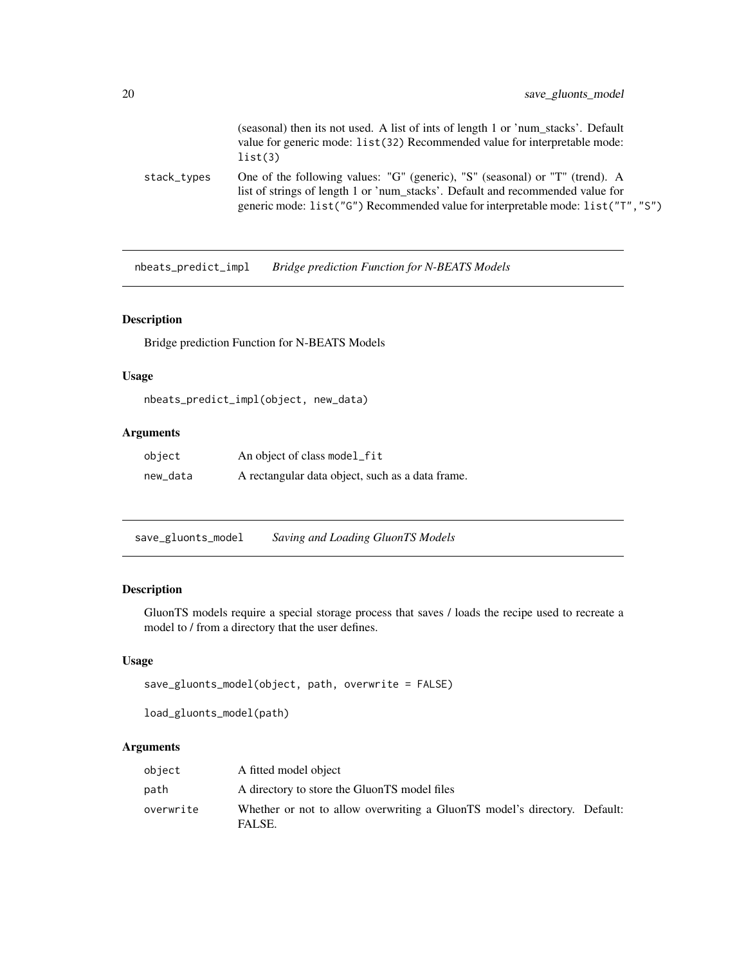<span id="page-19-0"></span>

|             | (seasonal) then its not used. A list of ints of length 1 or 'num stacks'. Default<br>value for generic mode: list(32) Recommended value for interpretable mode:<br>list(3)                                                                        |
|-------------|---------------------------------------------------------------------------------------------------------------------------------------------------------------------------------------------------------------------------------------------------|
| stack_types | One of the following values: "G" (generic), "S" (seasonal) or "T" (trend). A<br>list of strings of length 1 or 'num_stacks'. Default and recommended value for<br>generic mode: list("G") Recommended value for interpretable mode: list("T","S") |

nbeats\_predict\_impl *Bridge prediction Function for N-BEATS Models*

#### Description

Bridge prediction Function for N-BEATS Models

#### Usage

nbeats\_predict\_impl(object, new\_data)

#### Arguments

| object   | An object of class model_fit                     |
|----------|--------------------------------------------------|
| new_data | A rectangular data object, such as a data frame. |

save\_gluonts\_model *Saving and Loading GluonTS Models*

#### Description

GluonTS models require a special storage process that saves / loads the recipe used to recreate a model to / from a directory that the user defines.

#### Usage

```
save_gluonts_model(object, path, overwrite = FALSE)
```

```
load_gluonts_model(path)
```

| object    | A fitted model object                                                               |  |
|-----------|-------------------------------------------------------------------------------------|--|
| path      | A directory to store the GluonTS model files                                        |  |
| overwrite | Whether or not to allow overwriting a GluonTS model's directory. Default:<br>FALSE. |  |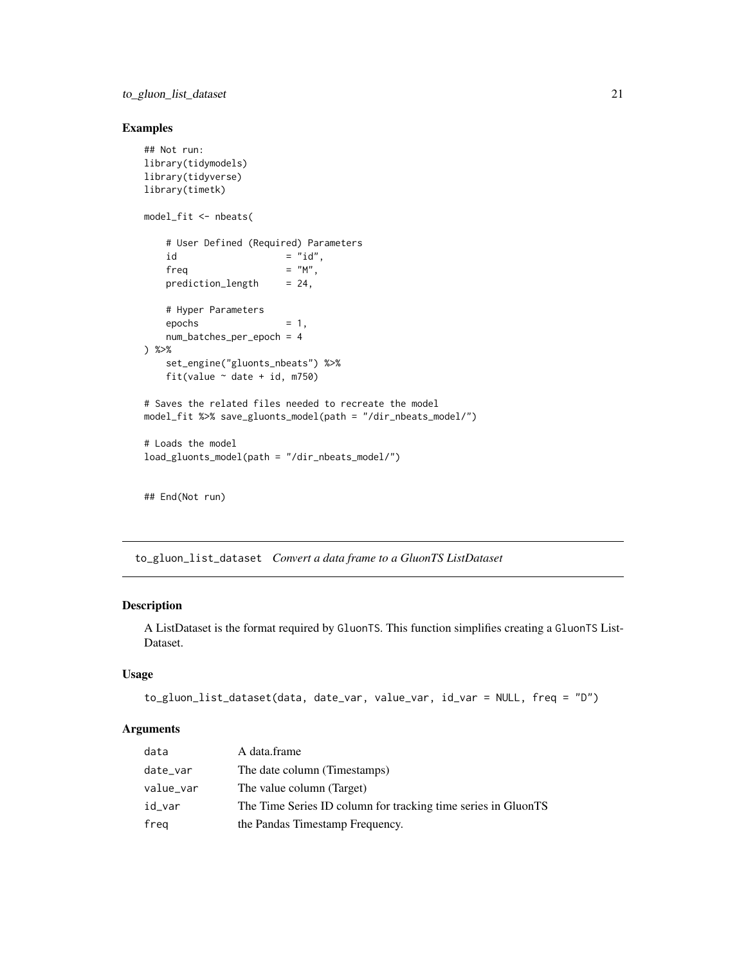#### <span id="page-20-0"></span>Examples

```
## Not run:
library(tidymodels)
library(tidyverse)
library(timetk)
model_fit <- nbeats(
   # User Defined (Required) Parameters
   id = "id",freq = "M",<br>prediction_length = 24,
   prediction_length
   # Hyper Parameters
   \epsilon = 1,
   num_batches_per_epoch = 4
) %>%
   set_engine("gluonts_nbeats") %>%
   fit(value \sim date + id, m750)
# Saves the related files needed to recreate the model
model_fit %>% save_gluonts_model(path = "/dir_nbeats_model/")
# Loads the model
load_gluonts_model(path = "/dir_nbeats_model/")
```
## End(Not run)

to\_gluon\_list\_dataset *Convert a data frame to a GluonTS ListDataset*

#### Description

A ListDataset is the format required by GluonTS. This function simplifies creating a GluonTS List-Dataset.

#### Usage

```
to_gluon_list_dataset(data, date_var, value_var, id_var = NULL, freq = "D")
```

| data      | A data.frame                                                  |
|-----------|---------------------------------------------------------------|
| date_var  | The date column (Timestamps)                                  |
| value_var | The value column (Target)                                     |
| id_var    | The Time Series ID column for tracking time series in GluonTS |
| freg      | the Pandas Timestamp Frequency.                               |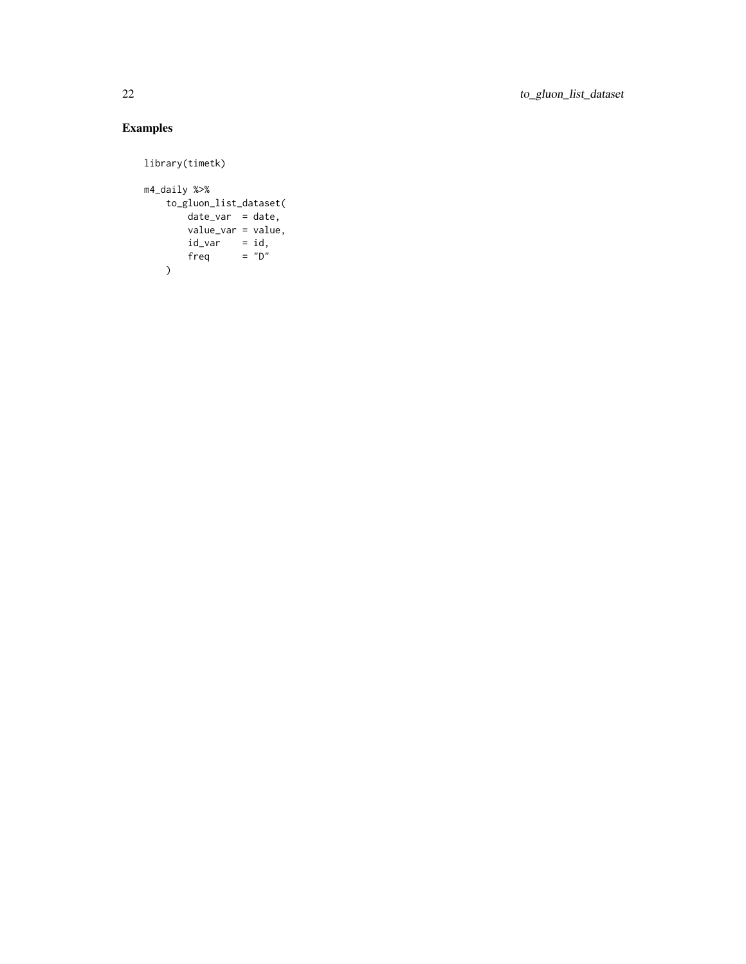#### Examples

```
library(timetk)
m4_daily %>%
   to_gluon_list_dataset(
       date_var = date,
       value_var = value,
        id\_var = id,
        freq = "D"\, \,
```